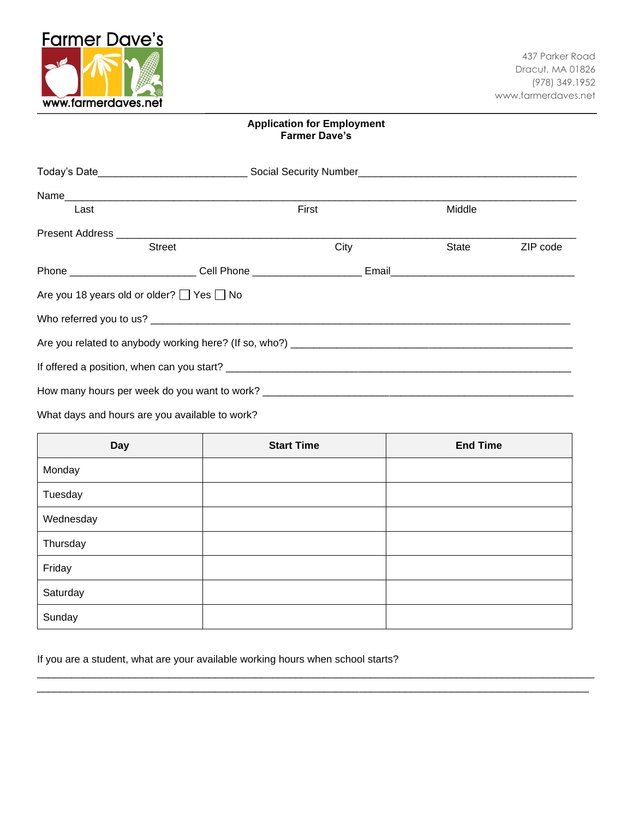

## **Application for Employment Farmer Dave's**

| Last                                                | First                                        |      | Middle |          |
|-----------------------------------------------------|----------------------------------------------|------|--------|----------|
|                                                     |                                              |      |        |          |
|                                                     | <b>Street</b>                                | City | State  | ZIP code |
|                                                     |                                              |      |        |          |
| Are you 18 years old or older? $\Box$ Yes $\Box$ No |                                              |      |        |          |
|                                                     |                                              |      |        |          |
|                                                     |                                              |      |        |          |
|                                                     |                                              |      |        |          |
|                                                     | How many hours per week do you want to work? |      |        |          |

What days and hours are you available to work?

| <b>Day</b> | <b>Start Time</b> | <b>End Time</b> |
|------------|-------------------|-----------------|
| Monday     |                   |                 |
| Tuesday    |                   |                 |
| Wednesday  |                   |                 |
| Thursday   |                   |                 |
| Friday     |                   |                 |
| Saturday   |                   |                 |
| Sunday     |                   |                 |

 $\Box$ \_\_\_\_\_\_\_\_\_\_\_\_\_\_\_\_\_\_\_\_\_\_\_\_\_\_\_\_\_\_\_\_\_\_\_\_\_\_\_\_\_\_\_\_\_\_\_\_\_\_\_\_\_\_\_\_\_\_\_\_\_\_\_\_\_\_\_\_\_\_\_\_\_\_\_\_\_\_\_\_\_\_\_\_\_\_\_\_\_\_\_\_\_\_\_\_

If you are a student, what are your available working hours when school starts?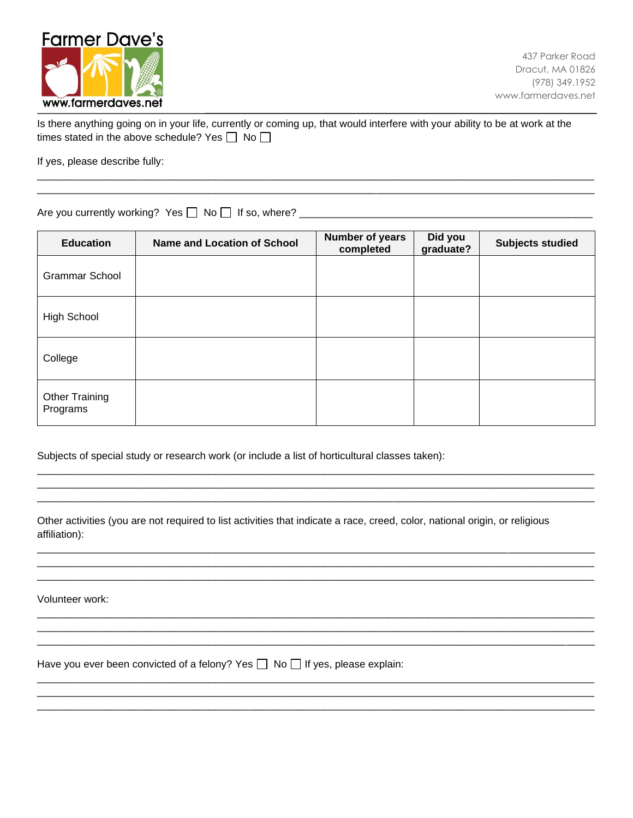

| Is there anything going on in your life, currently or coming up, that would interfere with your ability to be at work at the |  |
|------------------------------------------------------------------------------------------------------------------------------|--|
| times stated in the above schedule? Yes $\Box$ No $\Box$                                                                     |  |

 $\Box$ 

\_\_\_\_\_\_\_\_\_\_\_\_\_\_\_\_\_\_\_\_\_\_\_\_\_\_\_\_\_\_\_\_\_\_\_\_\_\_\_\_\_\_\_\_\_\_\_\_\_\_\_\_\_\_\_\_\_\_\_\_\_\_\_\_\_\_\_\_\_\_\_\_\_\_\_\_\_\_\_\_\_\_\_\_\_\_\_\_\_\_\_\_\_\_\_\_\_

If yes, please describe fully:

Are you currently working? Yes No If so, where? \_\_\_\_\_\_\_\_\_\_\_\_\_\_\_\_\_\_\_\_\_\_\_\_\_\_\_\_\_\_\_\_\_\_\_\_\_\_\_\_\_\_\_\_\_\_\_\_\_\_\_

| <b>Education</b>                  | <b>Name and Location of School</b> | Number of years<br>completed | Did you<br>graduate? | <b>Subjects studied</b> |
|-----------------------------------|------------------------------------|------------------------------|----------------------|-------------------------|
| <b>Grammar School</b>             |                                    |                              |                      |                         |
| High School                       |                                    |                              |                      |                         |
| College                           |                                    |                              |                      |                         |
| <b>Other Training</b><br>Programs |                                    |                              |                      |                         |

\_\_\_\_\_\_\_\_\_\_\_\_\_\_\_\_\_\_\_\_\_\_\_\_\_\_\_\_\_\_\_\_\_\_\_\_\_\_\_\_\_\_\_\_\_\_\_\_\_\_\_\_\_\_\_\_\_\_\_\_\_\_\_\_\_\_\_\_\_\_\_\_\_\_\_\_\_\_\_\_\_\_\_\_\_\_\_\_\_\_\_\_\_\_\_\_\_ \_\_\_\_\_\_\_\_\_\_\_\_\_\_\_\_\_\_\_\_\_\_\_\_\_\_\_\_\_\_\_\_\_\_\_\_\_\_\_\_\_\_\_\_\_\_\_\_\_\_\_\_\_\_\_\_\_\_\_\_\_\_\_\_\_\_\_\_\_\_\_\_\_\_\_\_\_\_\_\_\_\_\_\_\_\_\_\_\_\_\_\_\_\_\_\_\_ \_\_\_\_\_\_\_\_\_\_\_\_\_\_\_\_\_\_\_\_\_\_\_\_\_\_\_\_\_\_\_\_\_\_\_\_\_\_\_\_\_\_\_\_\_\_\_\_\_\_\_\_\_\_\_\_\_\_\_\_\_\_\_\_\_\_\_\_\_\_\_\_\_\_\_\_\_\_\_\_\_\_\_\_\_\_\_\_\_\_\_\_\_\_\_\_\_

 $\Box$  $\Box$ \_\_\_\_\_\_\_\_\_\_\_\_\_\_\_\_\_\_\_\_\_\_\_\_\_\_\_\_\_\_\_\_\_\_\_\_\_\_\_\_\_\_\_\_\_\_\_\_\_\_\_\_\_\_\_\_\_\_\_\_\_\_\_\_\_\_\_\_\_\_\_\_\_\_\_\_\_\_\_\_\_\_\_\_\_\_\_\_\_\_\_\_\_\_\_\_\_

\_\_\_\_\_\_\_\_\_\_\_\_\_\_\_\_\_\_\_\_\_\_\_\_\_\_\_\_\_\_\_\_\_\_\_\_\_\_\_\_\_\_\_\_\_\_\_\_\_\_\_\_\_\_\_\_\_\_\_\_\_\_\_\_\_\_\_\_\_\_\_\_\_\_\_\_\_\_\_\_\_\_\_\_\_\_\_\_\_\_\_\_\_\_\_\_\_  $\Box$ \_\_\_\_\_\_\_\_\_\_\_\_\_\_\_\_\_\_\_\_\_\_\_\_\_\_\_\_\_\_\_\_\_\_\_\_\_\_\_\_\_\_\_\_\_\_\_\_\_\_\_\_\_\_\_\_\_\_\_\_\_\_\_\_\_\_\_\_\_\_\_\_\_\_\_\_\_\_\_\_\_\_\_\_\_\_\_\_\_\_\_\_\_\_\_\_\_

\_\_\_\_\_\_\_\_\_\_\_\_\_\_\_\_\_\_\_\_\_\_\_\_\_\_\_\_\_\_\_\_\_\_\_\_\_\_\_\_\_\_\_\_\_\_\_\_\_\_\_\_\_\_\_\_\_\_\_\_\_\_\_\_\_\_\_\_\_\_\_\_\_\_\_\_\_\_\_\_\_\_\_\_\_\_\_\_\_\_\_\_\_\_\_\_\_ \_\_\_\_\_\_\_\_\_\_\_\_\_\_\_\_\_\_\_\_\_\_\_\_\_\_\_\_\_\_\_\_\_\_\_\_\_\_\_\_\_\_\_\_\_\_\_\_\_\_\_\_\_\_\_\_\_\_\_\_\_\_\_\_\_\_\_\_\_\_\_\_\_\_\_\_\_\_\_\_\_\_\_\_\_\_\_\_\_\_\_\_\_\_\_\_\_ \_\_\_\_\_\_\_\_\_\_\_\_\_\_\_\_\_\_\_\_\_\_\_\_\_\_\_\_\_\_\_\_\_\_\_\_\_\_\_\_\_\_\_\_\_\_\_\_\_\_\_\_\_\_\_\_\_\_\_\_\_\_\_\_\_\_\_\_\_\_\_\_\_\_\_\_\_\_\_\_\_\_\_\_\_\_\_\_\_\_\_\_\_\_\_\_\_

Subjects of special study or research work (or include a list of horticultural classes taken):

Other activities (you are not required to list activities that indicate a race, creed, color, national origin, or religious affiliation):

Volunteer work:

Have you ever been convicted of a felony? Yes  $\Box$  No  $\Box$  If yes, please explain: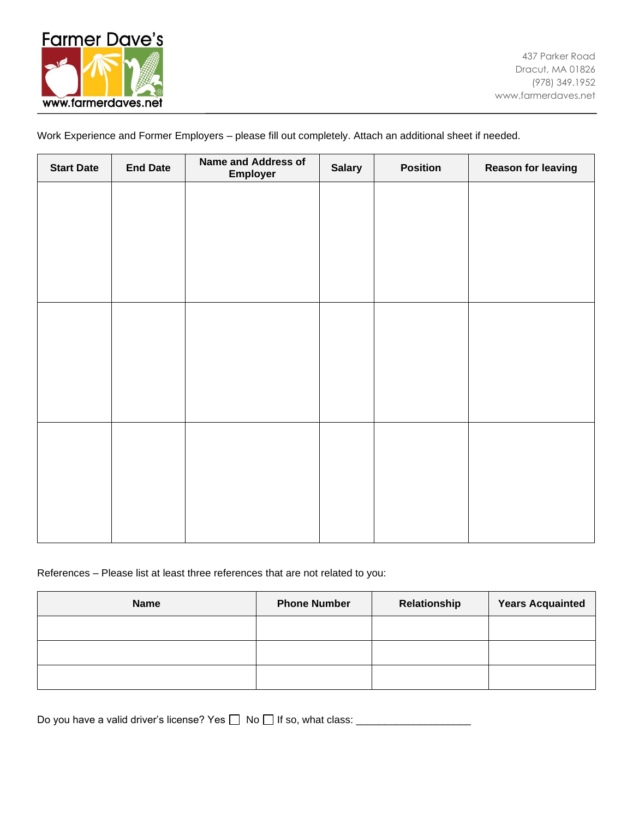

Work Experience and Former Employers – please fill out completely. Attach an additional sheet if needed.

| <b>Start Date</b> | <b>End Date</b> | <b>Name and Address of</b><br>Employer | <b>Salary</b> | <b>Position</b> | <b>Reason for leaving</b> |
|-------------------|-----------------|----------------------------------------|---------------|-----------------|---------------------------|
|                   |                 |                                        |               |                 |                           |
|                   |                 |                                        |               |                 |                           |
|                   |                 |                                        |               |                 |                           |
|                   |                 |                                        |               |                 |                           |
|                   |                 |                                        |               |                 |                           |
|                   |                 |                                        |               |                 |                           |
|                   |                 |                                        |               |                 |                           |
|                   |                 |                                        |               |                 |                           |
|                   |                 |                                        |               |                 |                           |
|                   |                 |                                        |               |                 |                           |
|                   |                 |                                        |               |                 |                           |
|                   |                 |                                        |               |                 |                           |

References – Please list at least three references that are not related to you:

| <b>Name</b> | <b>Phone Number</b> | Relationship | <b>Years Acquainted</b> |
|-------------|---------------------|--------------|-------------------------|
|             |                     |              |                         |
|             |                     |              |                         |
|             |                     |              |                         |

Do you have a valid driver's license? Yes  $\Box$  No  $\Box$  If so, what class:  $\Box$